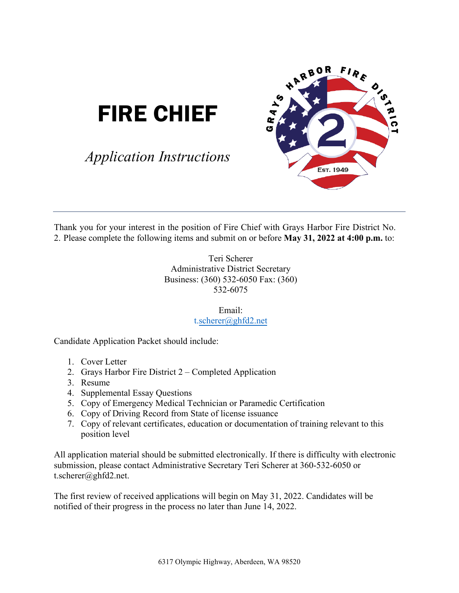# FIRE CHIEF

*Application Instructions*



Thank you for your interest in the position of Fire Chief with Grays Harbor Fire District No. 2. Please complete the following items and submit on or before **May 31, 2022 at 4:00 p.m.** to:

> Teri Scherer Administrative District Secretary Business: (360) 532-6050 Fax: (360) 532-6075

> > Email: [t.scherer@ghfd2.net](mailto:t.scherer@ghfd2.net)

Candidate Application Packet should include:

- 1. Cover Letter
- 2. Grays Harbor Fire District 2 Completed Application
- 3. Resume
- 4. Supplemental Essay Questions
- 5. Copy of Emergency Medical Technician or Paramedic Certification
- 6. Copy of Driving Record from State of license issuance
- 7. Copy of relevant certificates, education or documentation of training relevant to this position level

All application material should be submitted electronically. If there is difficulty with electronic submission, please contact Administrative Secretary Teri Scherer at 360-532-6050 or t.scherer@ghfd2.net.

The first review of received applications will begin on May 31, 2022. Candidates will be notified of their progress in the process no later than June 14, 2022.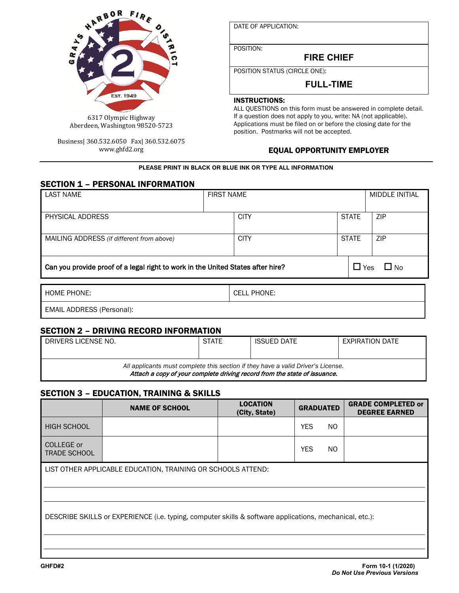

Business| 360.532.6050 Fax| 360.532.6075 www.ghfd2.org

DATE OF APPLICATION:

POSITION:

**FIRE CHIEF**

POSITION STATUS (CIRCLE ONE):

# **FULL-TIME**

#### INSTRUCTIONS:

ALL QUESTIONS on this form must be answered in complete detail. If a question does not apply to you, write: NA (not applicable). Applications must be filed on or before the closing date for the position. Postmarks will not be accepted.

### EQUAL OPPORTUNITY EMPLOYER

#### **PLEASE PRINT IN BLACK OR BLUE INK OR TYPE ALL INFORMATION**

#### SECTION 1 – PERSONAL INFORMATION

| <b>LAST NAME</b>                                                                                           | <b>FIRST NAME</b> |                    |  | <b>MIDDLE INITIAL</b> |            |
|------------------------------------------------------------------------------------------------------------|-------------------|--------------------|--|-----------------------|------------|
| PHYSICAL ADDRESS                                                                                           |                   | <b>CITY</b>        |  | <b>STATE</b>          | <b>ZIP</b> |
| MAILING ADDRESS (if different from above)                                                                  |                   | <b>CITY</b>        |  | <b>STATE</b>          | <b>ZIP</b> |
| $\Box$ Yes<br>Can you provide proof of a legal right to work in the United States after hire?<br>$\Box$ No |                   |                    |  |                       |            |
| <b>HOME PHONE:</b>                                                                                         |                   | <b>CELL PHONE:</b> |  |                       |            |
| <b>EMAIL ADDRESS (Personal):</b>                                                                           |                   |                    |  |                       |            |

# SECTION 2 – DRIVING RECORD INFORMATION

| DRIVERS LICENSE NO.                                                                                                                                           | <b>STATE</b> | <b>ISSUED DATE</b> | EXPIRATION DATE |  |  |
|---------------------------------------------------------------------------------------------------------------------------------------------------------------|--------------|--------------------|-----------------|--|--|
|                                                                                                                                                               |              |                    |                 |  |  |
| All applicants must complete this section if they have a valid Driver's License.<br>Attach a copy of your complete driving record from the state of issuance. |              |                    |                 |  |  |

# SECTION 3 – EDUCATION, TRAINING & SKILLS

|                                                                                                         | <b>NAME OF SCHOOL</b> | <b>LOCATION</b><br>(City, State) | <b>GRADUATED</b>  | <b>GRADE COMPLETED or</b><br><b>DEGREE EARNED</b> |  |  |
|---------------------------------------------------------------------------------------------------------|-----------------------|----------------------------------|-------------------|---------------------------------------------------|--|--|
| <b>HIGH SCHOOL</b>                                                                                      |                       |                                  | <b>YES</b><br>NO. |                                                   |  |  |
| COLLEGE or<br><b>TRADE SCHOOL</b>                                                                       |                       |                                  | <b>YES</b><br>NO. |                                                   |  |  |
| LIST OTHER APPLICABLE EDUCATION, TRAINING OR SCHOOLS ATTEND:                                            |                       |                                  |                   |                                                   |  |  |
| DESCRIBE SKILLS or EXPERIENCE (i.e. typing, computer skills & software applications, mechanical, etc.): |                       |                                  |                   |                                                   |  |  |
|                                                                                                         |                       |                                  |                   |                                                   |  |  |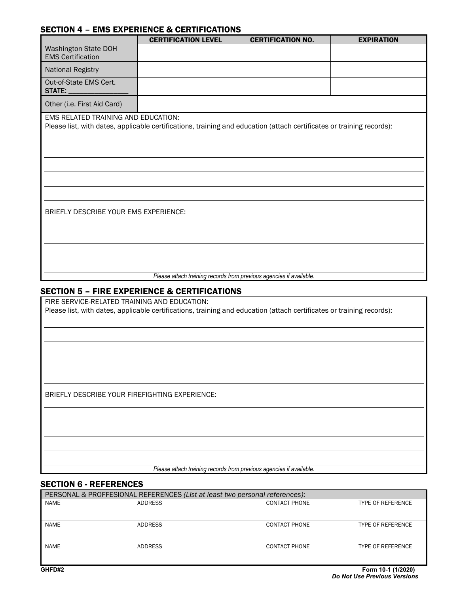### SECTION 4 – EMS EXPERIENCE & CERTIFICATIONS

|                                                                                                                                                              | <b>CERTIFICATION LEVEL</b> | <b>CERTIFICATION NO.</b> | <b>EXPIRATION</b> |  |  |  |
|--------------------------------------------------------------------------------------------------------------------------------------------------------------|----------------------------|--------------------------|-------------------|--|--|--|
| Washington State DOH<br><b>EMS Certification</b>                                                                                                             |                            |                          |                   |  |  |  |
| <b>National Registry</b>                                                                                                                                     |                            |                          |                   |  |  |  |
| Out-of-State EMS Cert.<br>STATE:                                                                                                                             |                            |                          |                   |  |  |  |
| Other (i.e. First Aid Card)                                                                                                                                  |                            |                          |                   |  |  |  |
| EMS RELATED TRAINING AND EDUCATION:<br>Please list, with dates, applicable certifications, training and education (attach certificates or training records): |                            |                          |                   |  |  |  |
| BRIEFLY DESCRIBE YOUR EMS EXPERIENCE:                                                                                                                        |                            |                          |                   |  |  |  |
|                                                                                                                                                              |                            |                          |                   |  |  |  |
|                                                                                                                                                              |                            |                          |                   |  |  |  |
|                                                                                                                                                              |                            |                          |                   |  |  |  |
| Please attach training records from previous agencies if available.                                                                                          |                            |                          |                   |  |  |  |

#### SECTION 5 – FIRE EXPERIENCE & CERTIFICATIONS

FIRE SERVICE-RELATED TRAINING AND EDUCATION: Please list, with dates, applicable certifications, training and education (attach certificates or training records):

BRIEFLY DESCRIBE YOUR FIREFIGHTING EXPERIENCE:

*Please attach training records from previous agencies if available.*

#### SECTION 6 - REFERENCES

| PERSONAL & PROFFESIONAL REFERENCES (List at least two personal references): |                |                      |                          |  |  |
|-----------------------------------------------------------------------------|----------------|----------------------|--------------------------|--|--|
| <b>NAME</b>                                                                 | <b>ADDRESS</b> | <b>CONTACT PHONE</b> | <b>TYPE OF REFERENCE</b> |  |  |
|                                                                             |                |                      |                          |  |  |
|                                                                             |                |                      |                          |  |  |
| <b>NAME</b>                                                                 | <b>ADDRESS</b> | <b>CONTACT PHONE</b> | <b>TYPE OF REFERENCE</b> |  |  |
|                                                                             |                |                      |                          |  |  |
|                                                                             |                |                      |                          |  |  |
| <b>NAME</b>                                                                 | <b>ADDRESS</b> | <b>CONTACT PHONE</b> | <b>TYPE OF REFERENCE</b> |  |  |
|                                                                             |                |                      |                          |  |  |
|                                                                             |                |                      |                          |  |  |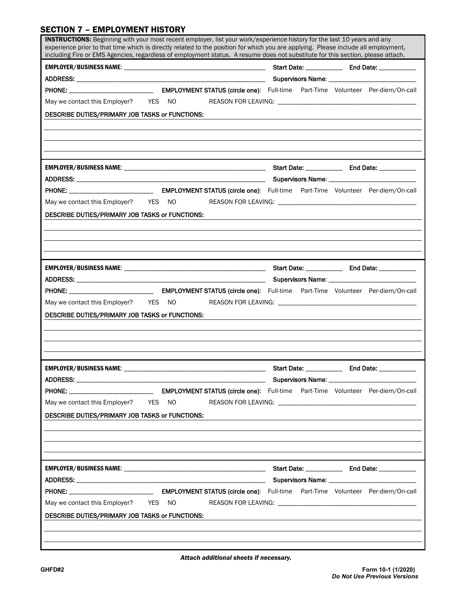## SECTION 7 – EMPLOYMENT HISTORY

| INSTRUCTIONS: Beginning with your most recent employer, list your work/experience history for the last 10 years and any<br>experience prior to that time which is directly related to the position for which you are applying. Please include all employment,<br>including Fire or EMS Agencies, regardless of employment status. A resume does not substitute for this section, please attach. |                       |             |
|-------------------------------------------------------------------------------------------------------------------------------------------------------------------------------------------------------------------------------------------------------------------------------------------------------------------------------------------------------------------------------------------------|-----------------------|-------------|
|                                                                                                                                                                                                                                                                                                                                                                                                 |                       |             |
|                                                                                                                                                                                                                                                                                                                                                                                                 |                       |             |
|                                                                                                                                                                                                                                                                                                                                                                                                 |                       |             |
|                                                                                                                                                                                                                                                                                                                                                                                                 |                       |             |
| DESCRIBE DUTIES/PRIMARY JOB TASKS or FUNCTIONS:                                                                                                                                                                                                                                                                                                                                                 |                       |             |
|                                                                                                                                                                                                                                                                                                                                                                                                 |                       |             |
|                                                                                                                                                                                                                                                                                                                                                                                                 |                       |             |
| May we contact this Employer? YES NO<br>DESCRIBE DUTIES/PRIMARY JOB TASKS or FUNCTIONS:                                                                                                                                                                                                                                                                                                         |                       |             |
|                                                                                                                                                                                                                                                                                                                                                                                                 |                       |             |
|                                                                                                                                                                                                                                                                                                                                                                                                 |                       |             |
|                                                                                                                                                                                                                                                                                                                                                                                                 |                       |             |
|                                                                                                                                                                                                                                                                                                                                                                                                 |                       |             |
|                                                                                                                                                                                                                                                                                                                                                                                                 |                       |             |
| DESCRIBE DUTIES/PRIMARY JOB TASKS or FUNCTIONS:                                                                                                                                                                                                                                                                                                                                                 |                       |             |
|                                                                                                                                                                                                                                                                                                                                                                                                 |                       |             |
|                                                                                                                                                                                                                                                                                                                                                                                                 |                       |             |
|                                                                                                                                                                                                                                                                                                                                                                                                 |                       |             |
| <b>EMPLOYER/BUSINESS NAME:</b>                                                                                                                                                                                                                                                                                                                                                                  |                       | End Date: _ |
|                                                                                                                                                                                                                                                                                                                                                                                                 | Start Date: _________ |             |
|                                                                                                                                                                                                                                                                                                                                                                                                 |                       |             |
| May we contact this Employer? YES NO                                                                                                                                                                                                                                                                                                                                                            |                       |             |
| DESCRIBE DUTIES/PRIMARY JOB TASKS or FUNCTIONS:                                                                                                                                                                                                                                                                                                                                                 |                       |             |
|                                                                                                                                                                                                                                                                                                                                                                                                 |                       |             |
|                                                                                                                                                                                                                                                                                                                                                                                                 |                       |             |
|                                                                                                                                                                                                                                                                                                                                                                                                 |                       |             |
|                                                                                                                                                                                                                                                                                                                                                                                                 |                       |             |
|                                                                                                                                                                                                                                                                                                                                                                                                 |                       |             |
|                                                                                                                                                                                                                                                                                                                                                                                                 |                       |             |
| May we contact this Employer? YES NO                                                                                                                                                                                                                                                                                                                                                            |                       |             |
| DESCRIBE DUTIES/PRIMARY JOB TASKS or FUNCTIONS:                                                                                                                                                                                                                                                                                                                                                 |                       |             |
|                                                                                                                                                                                                                                                                                                                                                                                                 |                       |             |

I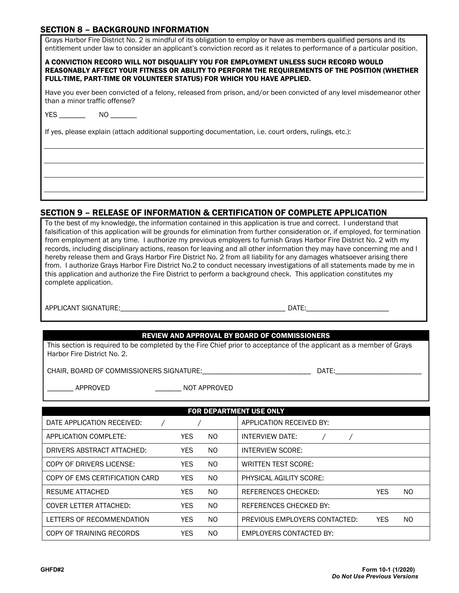#### SECTION 8 – BACKGROUND INFORMATION

| Grays Harbor Fire District No. 2 is mindful of its obligation to employ or have as members qualified persons and its<br>entitlement under law to consider an applicant's conviction record as it relates to performance of a particular position.              |
|----------------------------------------------------------------------------------------------------------------------------------------------------------------------------------------------------------------------------------------------------------------|
| A CONVICTION RECORD WILL NOT DISQUALIFY YOU FOR EMPLOYMENT UNLESS SUCH RECORD WOULD<br>REASONABLY AFFECT YOUR FITNESS OR ABILITY TO PERFORM THE REQUIREMENTS OF THE POSITION (WHETHER<br>FULL-TIME, PART-TIME OR VOLUNTEER STATUS) FOR WHICH YOU HAVE APPLIED. |
| Have you ever been convicted of a felony, released from prison, and/or been convicted of any level misdemeanor other<br>than a minor traffic offense?                                                                                                          |
| YES NO                                                                                                                                                                                                                                                         |
| If yes, please explain (attach additional supporting documentation, i.e. court orders, rulings, etc.):                                                                                                                                                         |
|                                                                                                                                                                                                                                                                |
|                                                                                                                                                                                                                                                                |
|                                                                                                                                                                                                                                                                |
|                                                                                                                                                                                                                                                                |

#### SECTION 9 – RELEASE OF INFORMATION & CERTIFICATION OF COMPLETE APPLICATION

To the best of my knowledge, the information contained in this application is true and correct. I understand that falsification of this application will be grounds for elimination from further consideration or, if employed, for termination from employment at any time. I authorize my previous employers to furnish Grays Harbor Fire District No. 2 with my records, including disciplinary actions, reason for leaving and all other information they may have concerning me and I hereby release them and Grays Harbor Fire District No. 2 from all liability for any damages whatsoever arising there from. I authorize Grays Harbor Fire District No.2 to conduct necessary investigations of all statements made by me in this application and authorize the Fire District to perform a background check. This application constitutes my complete application.

APPLICANT SIGNATURE:\_\_\_\_\_\_\_\_\_\_\_\_\_\_\_\_\_\_\_\_\_\_\_\_\_\_\_\_\_\_\_\_\_\_\_\_\_\_\_\_\_\_\_\_ DATE:\_\_\_\_\_\_\_\_\_\_\_\_\_\_\_\_\_\_\_\_\_\_

#### REVIEW AND APPROVAL BY BOARD OF COMMISSIONERS

This section is required to be completed by the Fire Chief prior to acceptance of the applicant as a member of Grays Harbor Fire District No. 2.

CHAIR, BOARD OF COMMISSIONERS SIGNATURE:\_\_\_\_\_\_\_\_\_\_\_\_\_\_\_\_\_\_\_\_\_\_\_\_\_\_\_\_\_ DATE:\_\_\_\_\_\_\_\_\_\_\_\_\_\_\_\_\_\_\_\_\_\_\_

\_\_\_\_\_\_\_ APPROVED \_\_\_\_\_\_\_ NOT APPROVED

| <b>FOR DEPARTMENT USE ONLY</b> |            |                |                                |            |     |  |  |
|--------------------------------|------------|----------------|--------------------------------|------------|-----|--|--|
| DATE APPLICATION RECEIVED:     |            |                | APPLICATION RECEIVED BY:       |            |     |  |  |
| APPLICATION COMPLETE:          | <b>YES</b> | NO.            | INTERVIEW DATE:                |            |     |  |  |
| DRIVERS ABSTRACT ATTACHED:     | <b>YES</b> | NO.            | <b>INTERVIEW SCORE:</b>        |            |     |  |  |
| COPY OF DRIVERS LICENSE:       | <b>YES</b> | NO.            | WRITTEN TEST SCORE:            |            |     |  |  |
| COPY OF EMS CERTIFICATION CARD | <b>YES</b> | NO.            | PHYSICAL AGILITY SCORE:        |            |     |  |  |
| RESUME ATTACHED                | <b>YES</b> | NO.            | REFERENCES CHECKED:            | <b>YES</b> | NO. |  |  |
| <b>COVER LETTER ATTACHED:</b>  | <b>YES</b> | NO.            | REFERENCES CHECKED BY:         |            |     |  |  |
| LETTERS OF RECOMMENDATION      | <b>YES</b> | N <sub>O</sub> | PREVIOUS EMPLOYERS CONTACTED:  | <b>YES</b> | NO. |  |  |
| COPY OF TRAINING RECORDS       | <b>YES</b> | NO.            | <b>EMPLOYERS CONTACTED BY:</b> |            |     |  |  |